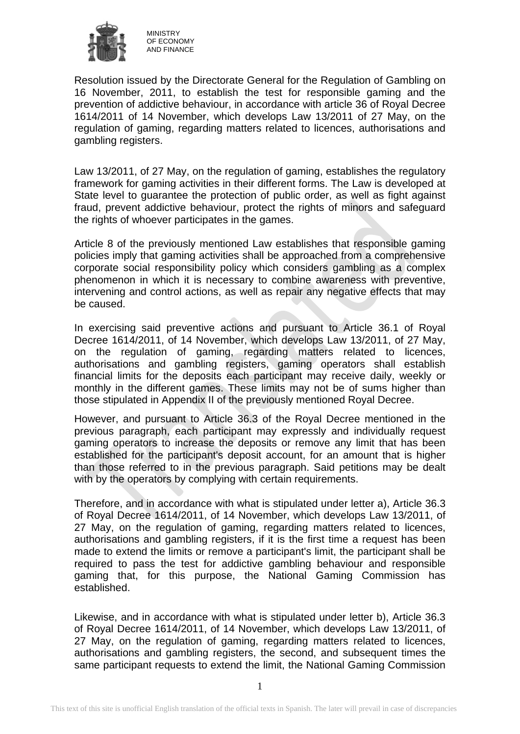

Resolution issued by the Directorate General for the Regulation of Gambling on 16 November, 2011, to establish the test for responsible gaming and the prevention of addictive behaviour, in accordance with article 36 of Royal Decree 1614/2011 of 14 November, which develops Law 13/2011 of 27 May, on the regulation of gaming, regarding matters related to licences, authorisations and gambling registers.

Law 13/2011, of 27 May, on the regulation of gaming, establishes the regulatory framework for gaming activities in their different forms. The Law is developed at State level to guarantee the protection of public order, as well as fight against fraud, prevent addictive behaviour, protect the rights of minors and safeguard the rights of whoever participates in the games.

Article 8 of the previously mentioned Law establishes that responsible gaming policies imply that gaming activities shall be approached from a comprehensive corporate social responsibility policy which considers gambling as a complex phenomenon in which it is necessary to combine awareness with preventive, intervening and control actions, as well as repair any negative effects that may be caused.

In exercising said preventive actions and pursuant to Article 36.1 of Royal Decree 1614/2011, of 14 November, which develops Law 13/2011, of 27 May, on the regulation of gaming, regarding matters related to licences, authorisations and gambling registers, gaming operators shall establish financial limits for the deposits each participant may receive daily, weekly or monthly in the different games. These limits may not be of sums higher than those stipulated in Appendix II of the previously mentioned Royal Decree.

However, and pursuant to Article 36.3 of the Royal Decree mentioned in the previous paragraph, each participant may expressly and individually request gaming operators to increase the deposits or remove any limit that has been established for the participant's deposit account, for an amount that is higher than those referred to in the previous paragraph. Said petitions may be dealt with by the operators by complying with certain requirements.

Therefore, and in accordance with what is stipulated under letter a), Article 36.3 of Royal Decree 1614/2011, of 14 November, which develops Law 13/2011, of 27 May, on the regulation of gaming, regarding matters related to licences, authorisations and gambling registers, if it is the first time a request has been made to extend the limits or remove a participant's limit, the participant shall be required to pass the test for addictive gambling behaviour and responsible gaming that, for this purpose, the National Gaming Commission has established.

Likewise, and in accordance with what is stipulated under letter b), Article 36.3 of Royal Decree 1614/2011, of 14 November, which develops Law 13/2011, of 27 May, on the regulation of gaming, regarding matters related to licences, authorisations and gambling registers, the second, and subsequent times the same participant requests to extend the limit, the National Gaming Commission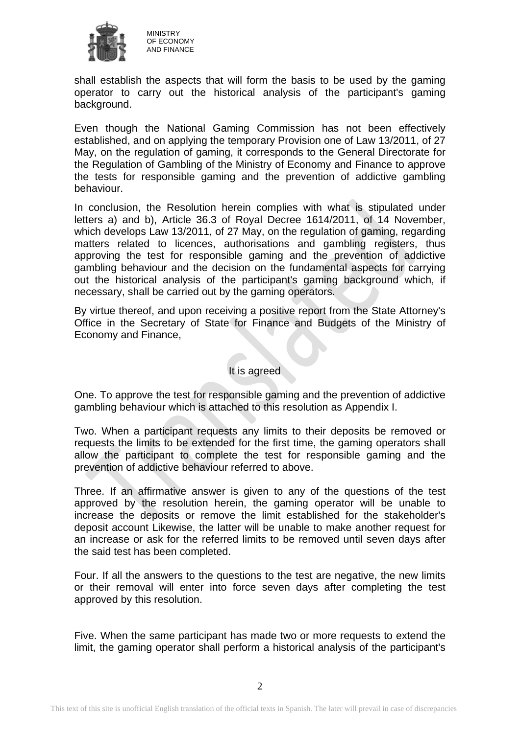

MINISTRY OF ECONOMY AND FINANCE

shall establish the aspects that will form the basis to be used by the gaming operator to carry out the historical analysis of the participant's gaming background.

Even though the National Gaming Commission has not been effectively established, and on applying the temporary Provision one of Law 13/2011, of 27 May, on the regulation of gaming, it corresponds to the General Directorate for the Regulation of Gambling of the Ministry of Economy and Finance to approve the tests for responsible gaming and the prevention of addictive gambling behaviour.

In conclusion, the Resolution herein complies with what is stipulated under letters a) and b), Article 36.3 of Royal Decree 1614/2011, of 14 November, which develops Law 13/2011, of 27 May, on the regulation of gaming, regarding matters related to licences, authorisations and gambling registers, thus approving the test for responsible gaming and the prevention of addictive gambling behaviour and the decision on the fundamental aspects for carrying out the historical analysis of the participant's gaming background which, if necessary, shall be carried out by the gaming operators.

By virtue thereof, and upon receiving a positive report from the State Attorney's Office in the Secretary of State for Finance and Budgets of the Ministry of Economy and Finance,

## It is agreed

One. To approve the test for responsible gaming and the prevention of addictive gambling behaviour which is attached to this resolution as Appendix I.

Two. When a participant requests any limits to their deposits be removed or requests the limits to be extended for the first time, the gaming operators shall allow the participant to complete the test for responsible gaming and the prevention of addictive behaviour referred to above.

Three. If an affirmative answer is given to any of the questions of the test approved by the resolution herein, the gaming operator will be unable to increase the deposits or remove the limit established for the stakeholder's deposit account Likewise, the latter will be unable to make another request for an increase or ask for the referred limits to be removed until seven days after the said test has been completed.

Four. If all the answers to the questions to the test are negative, the new limits or their removal will enter into force seven days after completing the test approved by this resolution.

Five. When the same participant has made two or more requests to extend the limit, the gaming operator shall perform a historical analysis of the participant's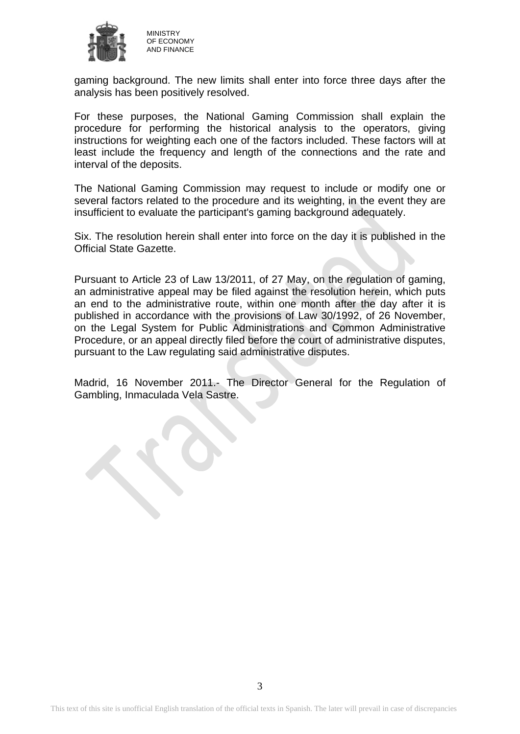

gaming background. The new limits shall enter into force three days after the analysis has been positively resolved.

For these purposes, the National Gaming Commission shall explain the procedure for performing the historical analysis to the operators, giving instructions for weighting each one of the factors included. These factors will at least include the frequency and length of the connections and the rate and interval of the deposits.

The National Gaming Commission may request to include or modify one or several factors related to the procedure and its weighting, in the event they are insufficient to evaluate the participant's gaming background adequately.

Six. The resolution herein shall enter into force on the day it is published in the Official State Gazette.

Pursuant to Article 23 of Law 13/2011, of 27 May, on the regulation of gaming, an administrative appeal may be filed against the resolution herein, which puts an end to the administrative route, within one month after the day after it is published in accordance with the provisions of Law 30/1992, of 26 November, on the Legal System for Public Administrations and Common Administrative Procedure, or an appeal directly filed before the court of administrative disputes, pursuant to the Law regulating said administrative disputes.

Madrid, 16 November 2011.- The Director General for the Regulation of Gambling, Inmaculada Vela Sastre.